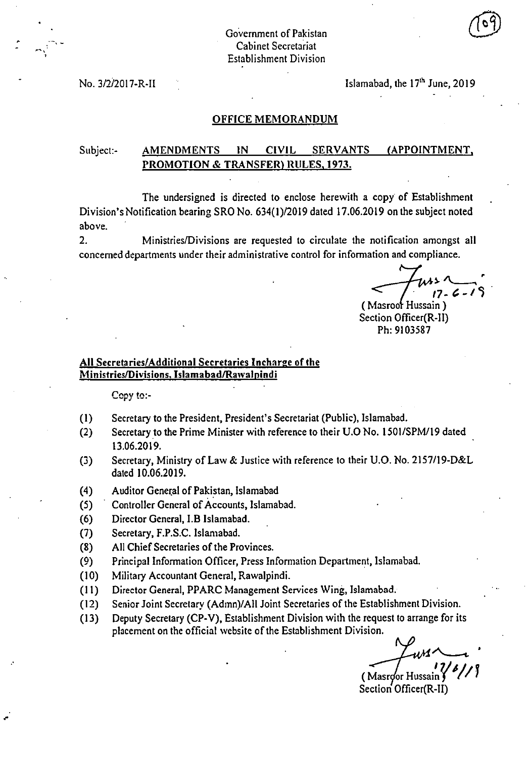$\mathbf{r}$ 

No.  $3/2/2017 - R$ -II Islamabad, the  $17<sup>th</sup>$  June, 2019

#### OFFICE MEMORANDUM

# Subject:- AMENDMENTS IN CIVIL SERVANTS (APPOINTMENT, PROMOTION & TRANSFER) RULES, 1973.

The undersigned is directed to enclose herewith a copy of Establishment Division's Notification bearing SRO No. 634(1)/2019 dated 17.06.2019 on the subject noted above.

2. Ministries/Divisions are requested to circulate the notification amongst all concerned departments under their administrative control for information and compliance.

 $17 - 6 -$ 

(Masroor Hussain) Section Officer(R-II) Ph: 9103587

### All Secretaries/Additional Secretaries Incharge of the Ministries/Divisions, Islamabad/Rawalpindi

Copy to:-

- $(1)$ Secretary to the President, President's Secretariat (Public), Islamabad.
- Secretary to the Prime Minister with reference to their U.0 No. 1501/SPM/19 dated  $(2)$ 13.06.2019.
- Secretary, Ministry of Law & Justice with reference to their U.O. No. 2157/19-D&L  $(3)$ dated 10.06.2019.
- Auditor General of Pakistan, Islamabad  $(4)$
- Controller General of Accounts, Islamabad.  $(5)$
- $(6)$ Director General, I.B Islamabad.
- Secretary, F.P.S.C. Islamabad.  $(7)$
- All Chief Secretaries of the Provinces.  $(8)$
- Principal Information Officer, Press Information Department, Islamabad.  $(9)$
- $(10)$ Military Accountant General, Rawalpindi.
- (II) Director General, PPARC Management Services Wing, Islamabad.
- $(12)$ Senior Joint Secretary (Admn)/All Joint Secretaries of the Establishment Division.
- Deputy Secretary (CP-V), Establishment Division with the request to arrange for its  $(13)$ placement on the official website of the Establishment Division.

(Masroor Hussain Section Officer(R-II)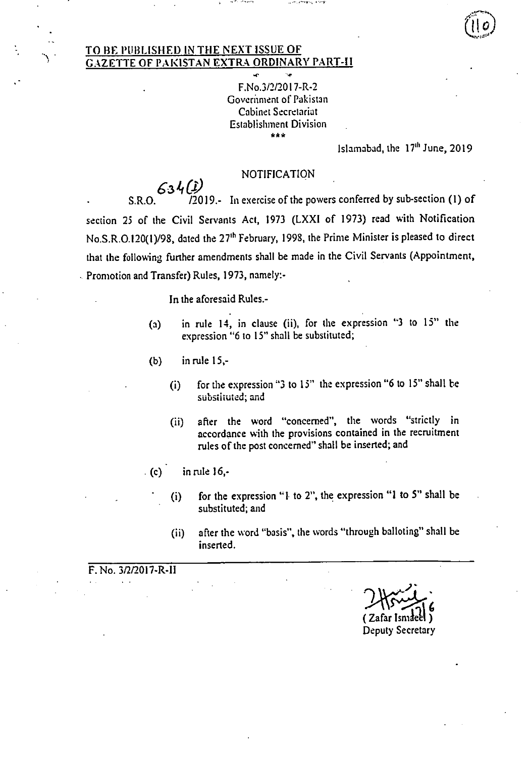### TO BE PUBLISHED IN THE NEXT ISSUE OF GAZETTE OF PAKISTAN EXTRA ORDINARY PART-II

F.No.3/2/2017-R-2 Government of Pakistan Cabinet Secretariat Establishment Division \*\*\*

Islamabad, the 17<sup>th</sup> June, 2019

# NOTIFICATION

 $634$  (i) S.R.O. 72019.- In exercise of the powers conferred by sub-section (1) of section 25 of the Civil Servants Act, 1973 (LXXI of 1973) read with Notification No.S.R.0.120(1)/98, dated the 27" February, 1998, the Prime Minister is pleased to direct that the following further amendments shall be made in the Civil Servants (Appointment, Promotion and Transfer) Rules, 1973, namely:-

In the aforesaid Rules.-

- in rule 14, in clause (ii), for the expression "3 to 15" the  $(a)$ expression "6 to 15" shall be substituted;
- in rule 15,-  $(b)$ 
	- for the expression "3 to 15" the expression "6 to 15" shall be  $(i)$ substituted; and
	- after the word "concerned", the words "strictly in  $(ii)$ accordance with the provisions contained in the recruitment rules of the post concerned" shall be inserted; and
- $(c)$  in rule  $16$ ,
	- for the expression "1 to 2", the expression "1 to 5" shall be  $(i)$ substituted; and
	- after the word "basis", the words "through balloting" shall be  $(i)$ inserted.

F. No. 3/2/2017-R-11

**ni**  ( Zafar Ismaet1 ) Deputy Secretary